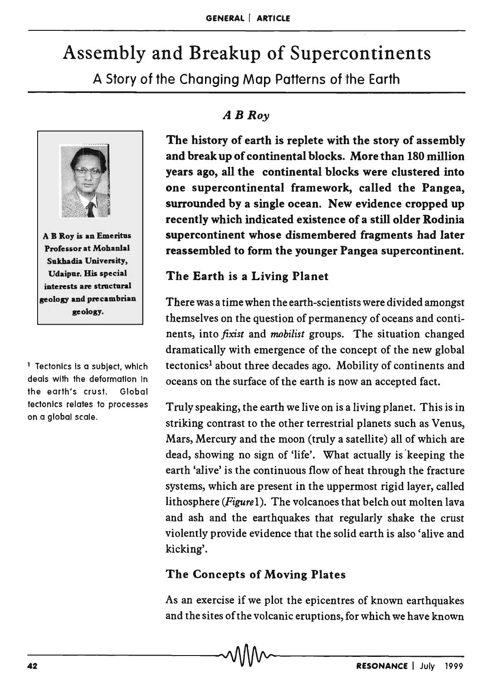# Assembly and Breakup of Supercontinents

A Story of the Changing Map Patterns of the Earth



A B Roy is an Emeritus Professor at Mohanlal Sukhadia University, Udaipur. His special interests are structural geology and precambrian geology.

<sup>1</sup> Tectonics is a subject, which deals with the deformation In the earth's crust. Global tectonics relates to processes on a global scale.

## *ABRoy*

The history of earth is replete with the story of assembly and break up of continental blocks. More than 180 million years ago, all the continental blocks were clustered into one supercontinental framework, called the Pangea, surrounded by a single ocean. New evidence cropped up recently which indicated existence of a still older Rodinia supercontinent whose dismembered fragments had later reassembled to form the younger Pangea supercontinent.

## The Earth is a Living Planet

There was a time when the earth-scientists were divided amongst themselves on the question of permanency of oceans and continents, into *fixist* and *mobilist* groups. The situation changed dramatically with emergence of the concept of the new global tectonics! about three decades ago. Mobility of continents and oceans on the surface of the earth is now an accepted fact.

Truly speaking, the earth we live on is a living planet. This is in striking contrast to the other terrestrial planets such as Venus, Mars, Mercury and the moon (truly a satellite) all of which are dead, showing no sign of 'life'. What actually is 'keeping the earth 'alive' is the continuous flow of heat through the fracture systems, which are present in the uppermost rigid layer, called lithosphere *(Figure* 1). The volcanoes that belch out molten lava and ash and the earthquakes that regularly shake the crust violently provide evidence that the solid earth is also 'alive and kicking'.

#### The Concepts of Moving Plates

As an exercise if we plot the epicentres of known earthquakes and the sites of the volcanic eruptions, for which we have known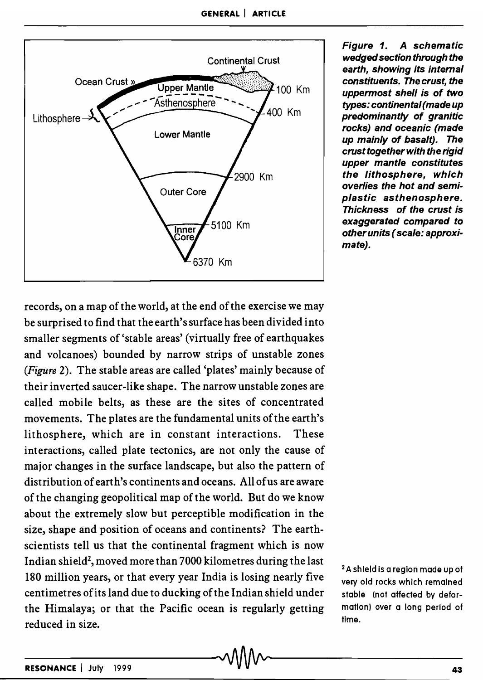

Figure 1. A schematic wedged section through the earth, showing its internal constituents. The crust, the uppermost shell is of two types: continental (made up predominantly of granitic rocks) and oceanic (made up mainly of basalt). The crust together with the rigid upper mantle constitutes the lithosphere, which overlies the hot and semiplastic asthenosphere. Thickness of the crust is exaggerated compared to other units (scale: approximate).

records, on a map of the world, at the end of the exercise we may be surprised to find that the earth's surface has been divided into smaller segments of 'stable areas' (virtually free of earthquakes and volcanoes) bounded by narrow strips of unstable zones *(Figure* 2). The stable areas are called 'plates' mainly because of their inverted saucer-like shape. The narrow unstable zones are called mobile belts, as these are the sites of concentrated movements. The plates are the fundamental units of the earth's lithosphere, which are in constant interactions. These interactions, called plate tectonics, are not only the cause of major changes in the surface landscape, but also the pattern of distribution of earth's continents and oceans. All of us are aware of the changing geopolitical map of the world. But do we know about the extremely slow but perceptible modification in the size, shape and position of oceans and continents? The earthscientists tell us that the continental fragment which is now Indian shield<sup>2</sup>, moved more than 7000 kilometres during the last 180 million years, or that every year India is losing nearly five centimetres of its land due to ducking of the Indian shield under the Himalaya; or that the Pacific ocean is regularly getting reduced in size.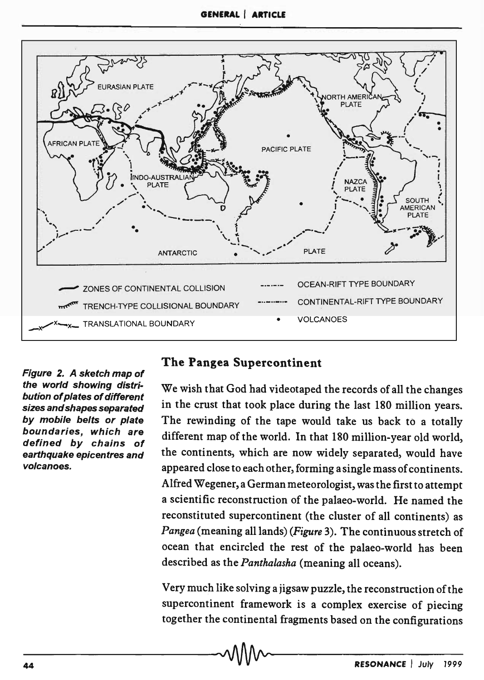

Figure 2. A sketch map of the world showing distribution of plates of different sizes and shapes separated by mobile belts or plate boundaries, which are defined by chains of earthquake epicentres and volcanoes.

## The Pangea Supercontinent

We wish that God had videotaped the records of all the changes in the crust that took place during the last 180 million years. The rewinding of the tape would take us back to a totally different map of the world. In that 180 million-year old world, the continents, which are now widely separated, would have appeared close to each other, forming a single mass of continents. Alfred Wegener, a German meteorologist, was the first to attempt a scientific reconstruction of the palaeo-world. He named the reconstituted supercontinent (the cluster of all continents) as *Pangea* (meaning all lands) *(Figure* 3). The continuous stretch of ocean that encircled the rest of the palaeo-world has been described as the *Panthalasha* (meaning all oceans).

Very much like solving a jigsaw puzzle, the reconstruction of the supercontinent framework is a complex exercise of piecing together the continental fragments based on the configurations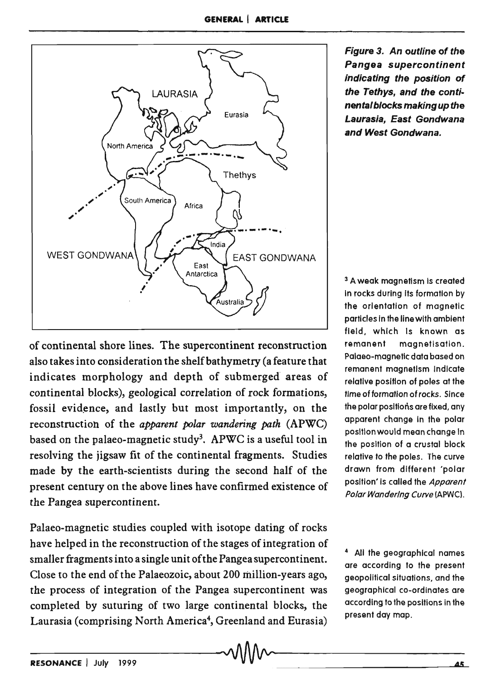

of continental shore lines. The supercontinent reconstruction also takes into consideration the shelf bathymetry (a feature that indicates morphology and depth of submerged areas of continental blocks), geological correlation of rock formations, fossil evidence, and lastly but most importantly, on the reconstruction of the *apparent polar wandering path* (APWC) based on the palaeo-magnetic study3. APWC is a useful tool in resolving the jigsaw fit of the continental fragments. Studies made by the earth-scientists during the second half of the present century on the above lines have confirmed existence of the Pangea supercontinent.

Palaeo-magnetic studies coupled with isotope dating of rocks have helped in the reconstruction of the stages of integration of smaller fragments into a single unit of the Pangea supercontinent. Close to the end of the Palaeozoic, about 200 million-years ago, the process of integration of the Pangea supercontinent was completed by suturing of two large continental blocks, the Laurasia (comprising North America<sup>4</sup>, Greenland and Eurasia) Figure 3. An outline of the Pangea supercontinent indicating the position of the Tethys, and the continental blocks making up the Laurasia, East Gondwana and West Gondwana.

<sup>3</sup> A weak magnetism is created In rocks during Its formation by the orientation of magnetic particles in the line with ambient field, which Is known as remanent magnetlsation. Palaeo-magnetic data based on remanent magnetism Indicate relative position of poles at the time of formation of rocks. Since the polar positions are fixed, any apparent change In the polar position would mean change In the position of a crustal block relative to the poles. The curve drawn from different 'polar position' is called the Apparent Polar Wandering Curve (APWC).

4 All the geographical names are according to the present geopolitical situations, and the geographical co-ordinates are according to the positions in the present day map.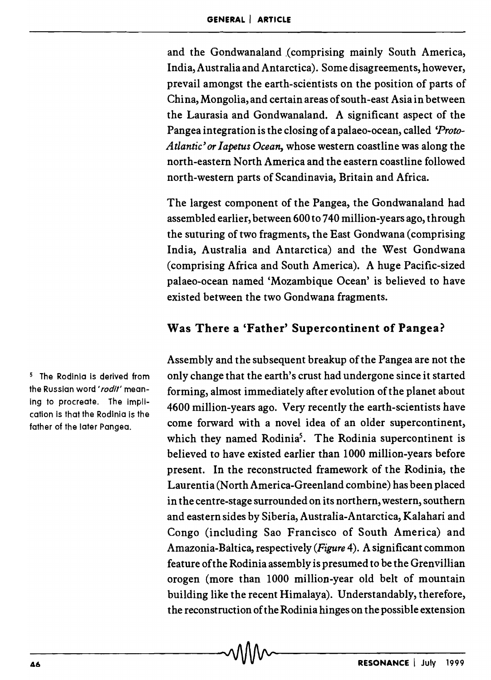and the Gondwanaland (comprising mainly South America, India, Australia and Antarctica). Some disagreements, however, prevail amongst the earth-scientists on the position of parts of China, Mongolia, and certain areas of south-east Asia in between the Laurasia and Gondwanaland. A significant aspect of the Pangea integration is the closing of a palaeo-ocean, called *'Proto-Atlantic' or Iapetus Ocean,* whose western coastline was along the north-eastern North America and the eastern coastline followed north-western parts of Scandinavia, Britain and Africa.

The largest component of the Pangea, the Gondwanaland had assembled earlier, between 600 to 740 million-years ago, through the suturing of two fragments, the East Gondwana (comprising India, Australia and Antarctica) and the West Gondwana (comprising Africa and South America). A huge Pacific-sized palaeo-ocean named 'Mozambique Ocean' is believed to have existed between the two Gondwana fragments.

#### Was There a 'Father' Supercontinent of Pangea?

Assembly and the subsequent breakup of the Pangea are not the only change that the earth's crust had undergone since it started forming, almost immediately after evolution of the planet about 4600 million-years ago. Very recently the earth-scientists have come forward with a novel idea of an older supercontinent, which they named Rodinia<sup>5</sup>. The Rodinia supercontinent is believed to have existed earlier than 1000 million-years before present. In the reconstructed framework of the Rodinia, the Laurentia (North America-Greenland combine) has been placed in the centre-stage surrounded on its northern, western, southern and eastern sides by Siberia, Australia-Antarctica, Kalahari and Congo (including Sao Francisco of South America) and Amazonia-Baltica, respectively *(Figure* 4). A significant common feature of the Rodinia assembly is presumed to be the Grenvillian orogen (more than 1000 million-year old belt of mountain building like the recent Himalaya). Understandably, therefore, the reconstruction ofthe Rodinia hinges on the possible extension

5 The Rodlnia is derived from the Russian word 'rodit' meaning to procreate. The implication is that the Rodinia is the father of the Jater Pangea.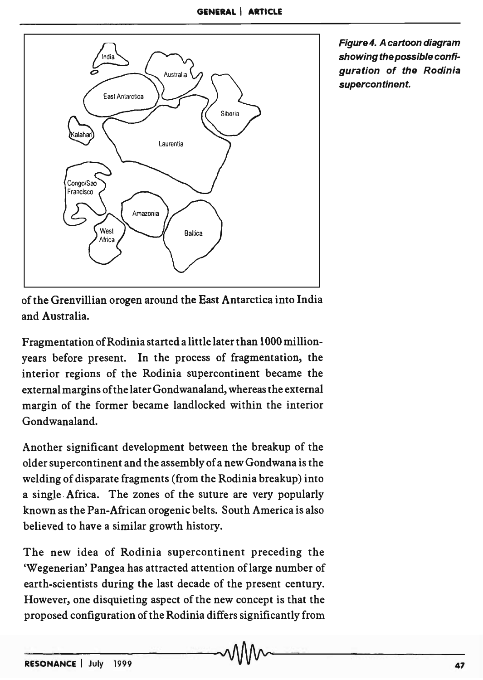

Figure4. A cartoon diagram showing the possible configuration of the Rodinia supercontinent.

of the Grenvillian orogen around the East Antarctica into India and Australia.

Fragmentation of Rodinia started a little later than 1000 millionyears before present. In the process of fragmentation, the interior regions of the Rodinia supercontinent became the external margins of the later Gondwanaland, whereas the external margin of the former became landlocked within the interior Gondwanaland.

Another significant development between the breakup of the older supercontinent and the assembly of a new Gondwana is the welding of disparate fragments (from the Rodinia breakup) into a single Africa. The zones of the suture are very popularly known as the Pan-African orogenic belts. South America is also believed to have a similar growth history.

The new idea of Rodinia supercontinent preceding the 'Wegenerian' Pangea has attracted attention of large number of earth-scientists during the last decade of the present century. However, one disquieting aspect of the new concept is that the proposed configuration of the Rodinia differs significantly from